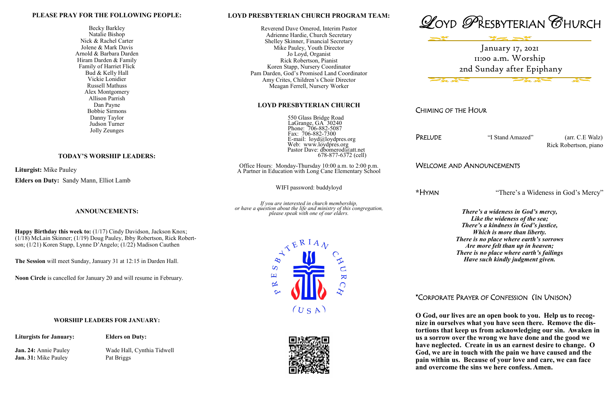#### **LOYD PRESBYTERIAN CHURCH PROGRAM TEAM:**

 550 Glass Bridge Road LaGrange, GA 30240 Phone: 706-882-5087 Fax: 706-882-7300 E-mail: loyd@loydpres.org Web: www.loydpres.org Pastor Dave: dbomerod@att.net  $678-877-6372$  (cell)

Reverend Dave Omerod, Interim Pastor Adrienne Hardie, Church Secretary Shelley Skinner, Financial Secretary Mike Pauley, Youth Director Jo Loyd, Organist Rick Robertson, Pianist Koren Stapp, Nursery Coordinator Pam Darden, God's Promised Land Coordinator Amy Crites, Children's Choir Director Meagan Ferrell, Nursery Worker

#### **LOYD PRESBYTERIAN CHURCH**

PRELUDE "I Stand Amazed" (arr. C.E Walz) Rick Robertson, piano

Office Hours: Monday-Thursday 10:00 a.m. to 2:00 p.m. A Partner in Education with Long Cane Elementary School

WIFI password: buddyloyd

*If you are interested in church membership, or have a question about the life and ministry of this congregation, please speak with one of our elders.*



CHIMING OF THE HOUR

## WELCOME AND ANNOUNCEMENTS

**\***HYMN "There's a Wideness in God's Mercy"

*There's a wideness in God's mercy, Like the wideness of the sea; There's a kindness in God's justice, Which is more than liberty. There is no place where earth's sorrows Are more felt than up in heaven; There is no place where earth's failings Have such kindly judgment given.* 

# \*CORPORATE PRAYER OF CONFESSION (IN UNISON)

**O God, our lives are an open book to you. Help us to recognize in ourselves what you have seen there. Remove the distortions that keep us from acknowledging our sin. Awaken in us a sorrow over the wrong we have done and the good we have neglected. Create in us an earnest desire to change. O God, we are in touch with the pain we have caused and the pain within us. Because of your love and care, we can face and overcome the sins we here confess. Amen.**







### **PLEASE PRAY FOR THE FOLLOWING PEOPLE:**

Becky Barkley Natalie Bishop Nick & Rachel Carter Jolene & Mark Davis Arnold & Barbara Darden Hiram Darden & Family Family of Harriet Flick Bud & Kelly Hall Vickie Lonidier Russell Mathuss Alex Montgomery Allison Parrish Dan Payne Bobbie Sirmons Danny Taylor Judson Turner Jolly Zeunges

### **TODAY'S WORSHIP LEADERS:**

**Liturgist:** Mike Pauley **Elders on Duty:** Sandy Mann, Elliot Lamb

## **ANNOUNCEMENTS:**

**Happy Birthday this week to:** (1/17) Cindy Davidson, Jackson Knox; (1/18) McLain Skinner; (1/19) Doug Pauley, Ibby Robertson, Rick Robertson; (1/21) Koren Stapp, Lynne D'Angelo; (1/22) Madison Cauthen

**The Session** will meet Sunday, January 31 at 12:15 in Darden Hall.

**Noon Circle** is cancelled for January 20 and will resume in February.

#### **WORSHIP LEADERS FOR JANUARY:**

**Liturgists for January: Elders on Duty:**

**Jan. 31:** Mike Pauley Pat Briggs

**Jan. 24:** Annie Pauley Wade Hall, Cynthia Tidwell





January 17, 2021 11:00 a.m. Worship 2nd Sunday after Epiphany